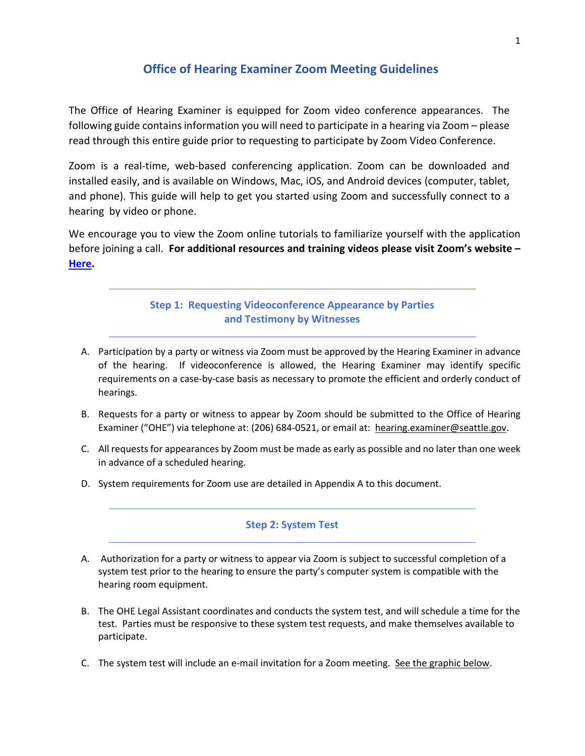# **Office of Hearing Examiner Zoom Meeting Guidelines**

The Office of Hearing Examiner is equipped for Zoom video conference appearances. The following guide contains information you will need to participate in a hearing via Zoom – please read through this entire guide prior to requesting to participate by Zoom Video Conference.

Zoom is a real-time, web-based conferencing application. Zoom can be downloaded and installed easily, and is available on Windows, Mac, iOS, and Android devices (computer, tablet, and phone). This guide will help to get you started using Zoom and successfully connect to a hearing by video or phone.

We encourage you to view the Zoom online tutorials to familiarize yourself with the application before joining a call. **For additional resources and training videos please visit Zoom's website – [Here.](https://support.zoom.us/hc/en-us)**

# **Step 1: Requesting Videoconference Appearance by Parties and Testimony by Witnesses**

- A. Participation by a party or witness via Zoom must be approved by the Hearing Examiner in advance of the hearing. If videoconference is allowed, the Hearing Examiner may identify specific requirements on a case-by-case basis as necessary to promote the efficient and orderly conduct of hearings.
- B. Requests for a party or witness to appear by Zoom should be submitted to the Office of Hearing Examiner ("OHE") via telephone at: (206) 684-0521, or email at: hearing.examiner@seattle.gov.
- C. All requests for appearances by Zoom must be made as early as possible and no later than one week in advance of a scheduled hearing.
- D. System requirements for Zoom use are detailed in Appendix A to this document.

## **Step 2: System Test**

- A. Authorization for a party or witness to appear via Zoom is subject to successful completion of a system test prior to the hearing to ensure the party's computer system is compatible with the hearing room equipment.
- B. The OHE Legal Assistant coordinates and conducts the system test, and will schedule a time for the test. Parties must be responsive to these system test requests, and make themselves available to participate.
- C. The system test will include an e-mail invitation for a Zoom meeting. See the graphic below.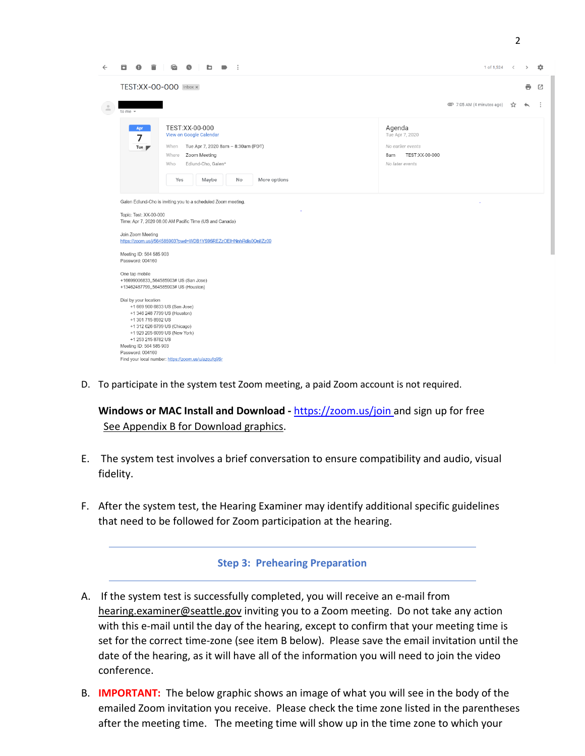| $\leftarrow$<br>ы                                       | b                                                                                                                                                                                                                                                                                                                                                                                                                                                                                                                                           | 1 of 1,524 $\lt$<br>森<br>$\rightarrow$                                                     |  |
|---------------------------------------------------------|---------------------------------------------------------------------------------------------------------------------------------------------------------------------------------------------------------------------------------------------------------------------------------------------------------------------------------------------------------------------------------------------------------------------------------------------------------------------------------------------------------------------------------------------|--------------------------------------------------------------------------------------------|--|
|                                                         | TEST:XX-00-000 Inbox x                                                                                                                                                                                                                                                                                                                                                                                                                                                                                                                      | 囜<br>ē                                                                                     |  |
| $\stackrel{0}{-}$<br>to me $\sim$                       |                                                                                                                                                                                                                                                                                                                                                                                                                                                                                                                                             | □ 7:05 AM (4 minutes ago)<br>☆                                                             |  |
| 7                                                       | TEST:XX-00-000<br>Apr<br>View on Google Calendar<br>Tue Apr 7, 2020 8am - 8:30am (PDT)<br>When<br>Tue $\blacksquare$<br>Where<br>Zoom Meeting<br>Edlund-Cho, Galen*<br>Who<br>Yes<br>More options<br>Maybe<br>No                                                                                                                                                                                                                                                                                                                            | Agenda<br>Tue Apr 7, 2020<br>No earlier events<br>TEST:XX-00-000<br>8am<br>No later events |  |
| Join Zoom Meeting<br>Password: 004160<br>One tap mobile | Galen Edlund-Cho is inviting you to a scheduled Zoom meeting.<br>Topic: Test: XX-00-000<br>Time: Apr 7, 2020 08:00 AM Pacific Time (US and Canada)<br>https://zoom.us/j/564585903?pwd=WDB1YS95REZzOEIHNnhRdis0QnlIZz09<br>Meeting ID: 564 585 903<br>+16699006833,,564585903# US (San Jose)<br>+13462487799,,564585903# US (Houston)<br>Dial by your location<br>+1 669 900 6833 US (San Jose)<br>+1 346 248 7799 US (Houston)<br>+1 301 715 8592 US<br>+1 312 626 6799 US (Chicago)<br>+1 929 205 6099 US (New York)<br>+1 253 215 8782 US |                                                                                            |  |

D. To participate in the system test Zoom meeting, a paid Zoom account is not required.

**Windows or MAC Install and Download -** [https://zoom.us/join a](https://zoom.us/join)nd sign up for free See Appendix B for Download graphics.

- E. The system test involves a brief conversation to ensure compatibility and audio, visual fidelity.
- F. After the system test, the Hearing Examiner may identify additional specific guidelines that need to be followed for Zoom participation at the hearing.

# **Step 3: Prehearing Preparation**

- A. If the system test is successfully completed, you will receive an e-mail from hearing.examiner@seattle.gov inviting you to a Zoom meeting. Do not take any action with this e-mail until the day of the hearing, except to confirm that your meeting time is set for the correct time-zone (see item B below). Please save the email invitation until the date of the hearing, as it will have all of the information you will need to join the video conference.
- B. **IMPORTANT:** The below graphic shows an image of what you will see in the body of the emailed Zoom invitation you receive. Please check the time zone listed in the parentheses after the meeting time. The meeting time will show up in the time zone to which your

2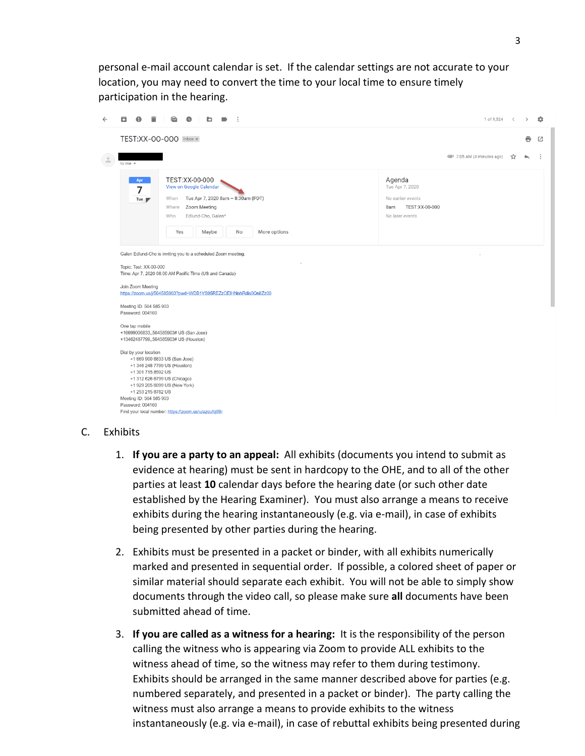personal e-mail account calendar is set. If the calendar settings are not accurate to your location, you may need to convert the time to your local time to ensure timely participation in the hearing.

| TEST:XX-00-000 Inbox x                                                                                                                                                                                                                                                                                                                                                                                                                                                                                                                                                                                                                                                                                                                                                                                                                                                                                                                                                                                                                     |                           |   |   |   |
|--------------------------------------------------------------------------------------------------------------------------------------------------------------------------------------------------------------------------------------------------------------------------------------------------------------------------------------------------------------------------------------------------------------------------------------------------------------------------------------------------------------------------------------------------------------------------------------------------------------------------------------------------------------------------------------------------------------------------------------------------------------------------------------------------------------------------------------------------------------------------------------------------------------------------------------------------------------------------------------------------------------------------------------------|---------------------------|---|---|---|
|                                                                                                                                                                                                                                                                                                                                                                                                                                                                                                                                                                                                                                                                                                                                                                                                                                                                                                                                                                                                                                            |                           |   | e | 囜 |
| $\stackrel{\circ}{-}$<br>to me $\sim$                                                                                                                                                                                                                                                                                                                                                                                                                                                                                                                                                                                                                                                                                                                                                                                                                                                                                                                                                                                                      | □ 7:05 AM (4 minutes ago) | ☆ |   |   |
| TEST:XX-00-000<br>Agenda<br>Apr<br>View on Google Calendar<br>Tue Apr 7, 2020<br>7<br>Tue Apr 7, 2020 8am - 8:30am (PDT)<br>No earlier events<br>When<br>Tue $\blacktriangleright$<br>TEST:XX-00-000<br>Zoom Meeting<br>Where<br>8am<br>Edlund-Cho, Galen*<br>Who<br>No later events<br>More options<br>Yes<br>Maybe<br>No<br>Galen Edlund-Cho is inviting you to a scheduled Zoom meeting.<br>Topic: Test: XX-00-000<br>Time: Apr 7, 2020 08:00 AM Pacific Time (US and Canada)<br>Join Zoom Meeting<br>https://zoom.us/j/564585903?pwd=WDB1YS95REZzOEIHNnhRdis0QnlIZz09<br>Meeting ID: 564 585 903<br>Password: 004160<br>One tap mobile<br>+16699006833,,564585903# US (San Jose)<br>+13462487799,,564585903# US (Houston)<br>Dial by your location<br>+1 669 900 6833 US (San Jose)<br>+1 346 248 7799 US (Houston)<br>+1 301 715 8592 US<br>+1 312 626 6799 US (Chicago)<br>+1 929 205 6099 US (New York)<br>+1 253 215 8782 US<br>Meeting ID: 564 585 903<br>Password: 004160<br>Find your local number: https://zoom.us/u/azqufq9Sr |                           |   |   |   |

## C. Exhibits

- 1. **If you are a party to an appeal:** All exhibits (documents you intend to submit as evidence at hearing) must be sent in hardcopy to the OHE, and to all of the other parties at least **10** calendar days before the hearing date (or such other date established by the Hearing Examiner). You must also arrange a means to receive exhibits during the hearing instantaneously (e.g. via e-mail), in case of exhibits being presented by other parties during the hearing.
- 2. Exhibits must be presented in a packet or binder, with all exhibits numerically marked and presented in sequential order. If possible, a colored sheet of paper or similar material should separate each exhibit. You will not be able to simply show documents through the video call, so please make sure **all** documents have been submitted ahead of time.
- 3. **If you are called as a witness for a hearing:** It is the responsibility of the person calling the witness who is appearing via Zoom to provide ALL exhibits to the witness ahead of time, so the witness may refer to them during testimony. Exhibits should be arranged in the same manner described above for parties (e.g. numbered separately, and presented in a packet or binder). The party calling the witness must also arrange a means to provide exhibits to the witness instantaneously (e.g. via e-mail), in case of rebuttal exhibits being presented during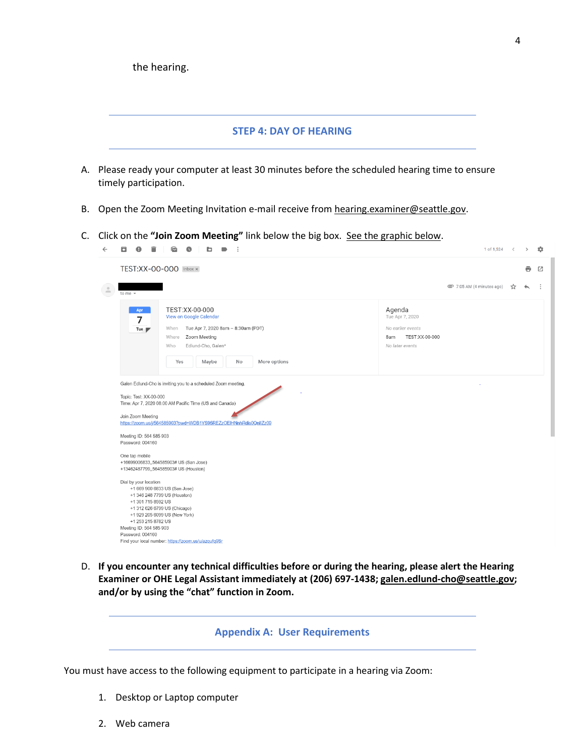$\approx$   $\sim$ 

 $\mathbf{r}_{\mathrm{in}}$ 

#### **STEP 4: DAY OF HEARING**

- A. Please ready your computer at least 30 minutes before the scheduled hearing time to ensure timely participation.
- B. Open the Zoom Meeting Invitation e-mail receive from hearing.examiner@seattle.gov.
- C. Click on the **"Join Zoom Meeting"** link below the big box. See the graphic below.

| TEST:XX-00-000 Inbox x<br>ē<br>□ 7:05 AM (4 minutes ago)<br>☆<br>to me $\sim$<br>TEST:XX-00-000<br>Agenda<br>Apr<br>View on Google Calendar<br>Tue Apr 7, 2020<br>7<br>No earlier events<br>Tue Apr 7, 2020 8am - 8:30am (PDT)<br>When<br>Tue $\blacksquare$<br>TEST:XX-00-000<br>Where<br>Zoom Meeting<br>8am |
|----------------------------------------------------------------------------------------------------------------------------------------------------------------------------------------------------------------------------------------------------------------------------------------------------------------|
|                                                                                                                                                                                                                                                                                                                |
|                                                                                                                                                                                                                                                                                                                |
| Edlund-Cho, Galen*<br>No later events<br>Who<br>More options<br>Yes<br>Maybe<br>No                                                                                                                                                                                                                             |

D. **If you encounter any technical difficulties before or during the hearing, please alert the Hearing Examiner or OHE Legal Assistant immediately at (206) 697-1438; galen.edlund-cho@seattle.gov; and/or by using the "chat" function in Zoom.** 

#### **Appendix A: User Requirements**

You must have access to the following equipment to participate in a hearing via Zoom:

- 1. Desktop or Laptop computer
- 2. Web camera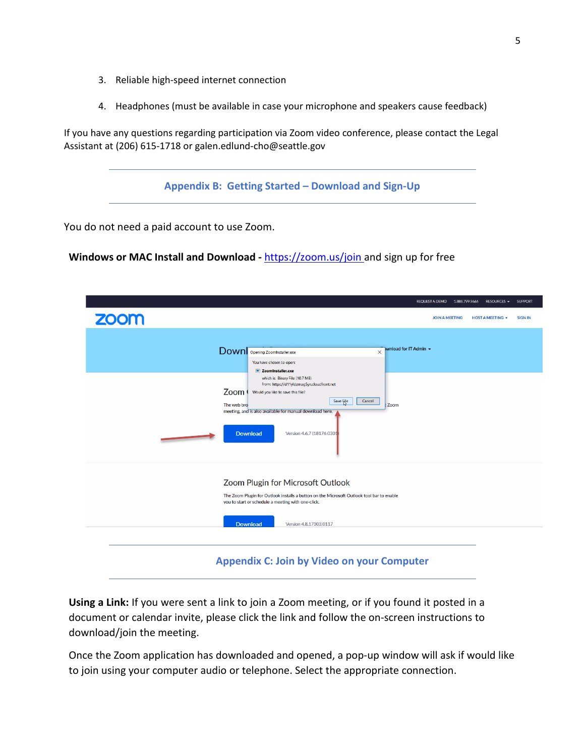- 3. Reliable high-speed internet connection
- 4. Headphones (must be available in case your microphone and speakers cause feedback)

If you have any questions regarding participation via Zoom video conference, please contact the Legal Assistant at (206) 615-1718 or galen.edlund-cho@seattle.gov

**Appendix B: Getting Started – Download and Sign-Up**

You do not need a paid account to use Zoom.

Windows or MAC Install and Download - [https://zoom.us/join a](https://zoom.us/join)nd sign up for free

|                                                   |                                                                                                                                                                                                                                                                                                                                                                                                                           | <b>SUPPORT</b><br><b>REQUEST A DEMO</b><br>1.888.799.9666<br>RESOURCES $\blacktriangleright$ |  |  |  |  |
|---------------------------------------------------|---------------------------------------------------------------------------------------------------------------------------------------------------------------------------------------------------------------------------------------------------------------------------------------------------------------------------------------------------------------------------------------------------------------------------|----------------------------------------------------------------------------------------------|--|--|--|--|
| <b>ZOOM</b>                                       |                                                                                                                                                                                                                                                                                                                                                                                                                           | <b>JOIN A MEETING</b><br>HOST A MEETING T<br><b>SIGN IN</b>                                  |  |  |  |  |
|                                                   | wnload for IT Admin +<br>Downlopening ZoomInstaller.exe<br>$\times$<br>You have chosen to open:<br><b>E</b> ZoomInstaller.exe<br>which is: Binary File (10.7 MB)<br>from: https://d11yldzmag5yn.cloudfront.net<br>Zoom (<br>Would you like to save this file?<br>Cancel<br>Save File<br>The web bro<br>t Zoom<br>meeting, and is also available for manual download here.<br><b>Download</b><br>Version 4.6.7 (18176.030) |                                                                                              |  |  |  |  |
|                                                   | Zoom Plugin for Microsoft Outlook<br>The Zoom Plugin for Outlook installs a button on the Microsoft Outlook tool bar to enable<br>you to start or schedule a meeting with one-click.<br><b>Download</b><br>Version 4.8.17303.0117                                                                                                                                                                                         |                                                                                              |  |  |  |  |
| <b>Appendix C: Join by Video on your Computer</b> |                                                                                                                                                                                                                                                                                                                                                                                                                           |                                                                                              |  |  |  |  |

**Using a Link:** If you were sent a link to join a Zoom meeting, or if you found it posted in a document or calendar invite, please click the link and follow the on-screen instructions to download/join the meeting.

Once the Zoom application has downloaded and opened, a pop-up window will ask if would like to join using your computer audio or telephone. Select the appropriate connection.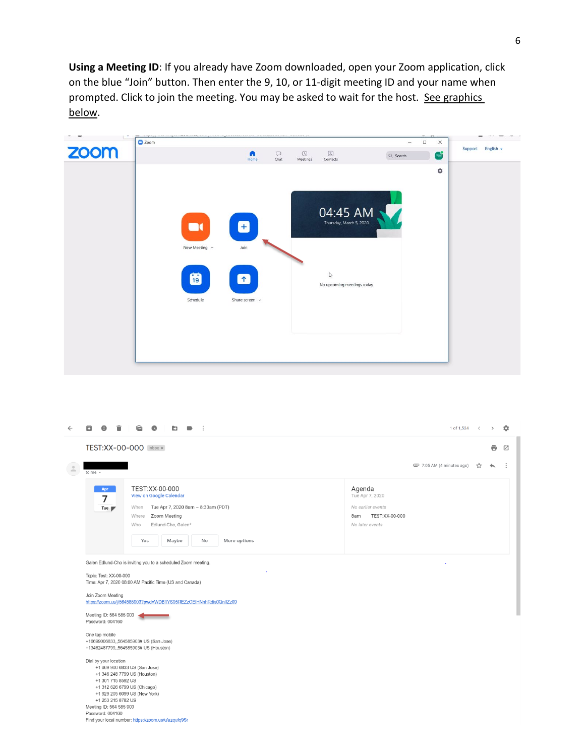**Using a Meeting ID**: If you already have Zoom downloaded, open your Zoom application, click on the blue "Join" button. Then enter the 9, 10, or 11-digit meeting ID and your name when prompted. Click to join the meeting. You may be asked to wait for the host. See graphics below.



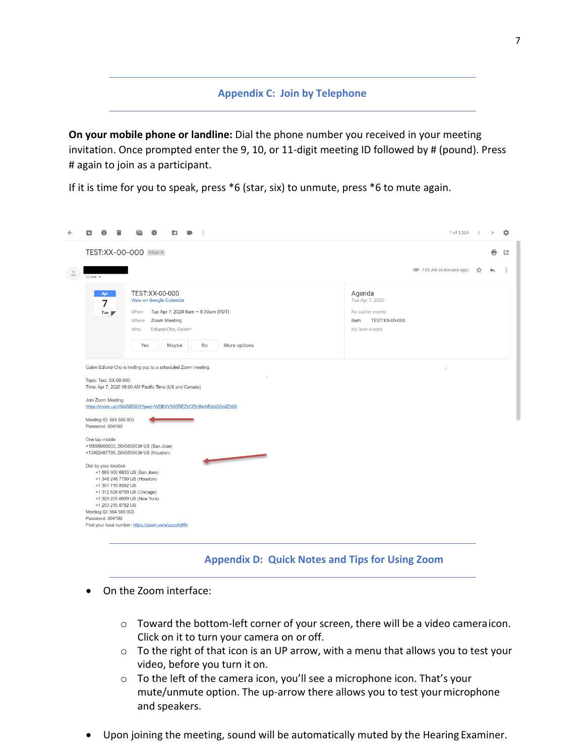## **Appendix C: Join by Telephone**

**On your mobile phone or landline:** Dial the phone number you received in your meeting invitation. Once prompted enter the 9, 10, or 11-digit meeting ID followed by # (pound). Press # again to join as a participant.

If it is time for you to speak, press \*6 (star, six) to unmute, press \*6 to mute again.

|                              | 1 of 1,524 <<br>$\widehat{\phantom{a}}$<br>Q<br>b                                                                                                                                                                                                                                                                                                                                                                                                                                                                                                                                               |    |   |   |
|------------------------------|-------------------------------------------------------------------------------------------------------------------------------------------------------------------------------------------------------------------------------------------------------------------------------------------------------------------------------------------------------------------------------------------------------------------------------------------------------------------------------------------------------------------------------------------------------------------------------------------------|----|---|---|
|                              | TEST:XX-00-000 Inbox x                                                                                                                                                                                                                                                                                                                                                                                                                                                                                                                                                                          |    | ē | 囜 |
| $\circ$<br>÷<br>to me $\sim$ | □ 7:05 AM (4 minutes ago)                                                                                                                                                                                                                                                                                                                                                                                                                                                                                                                                                                       | ጜን |   |   |
|                              | TEST:XX-00-000<br>Agenda<br>Apr<br>Tue Apr 7, 2020<br>View on Google Calendar<br>7<br>Tue Apr 7, 2020 8am - 8:30am (PDT)<br>No earlier events<br>When<br>Tue $\blacksquare$<br>TEST:XX-00-000<br>Zoom Meeting<br>Where<br>8am<br>Edlund-Cho, Galen*<br>No later events<br>Who<br>Maybe<br>Yes<br>No<br>More options                                                                                                                                                                                                                                                                             |    |   |   |
|                              | Galen Edlund-Cho is inviting you to a scheduled Zoom meeting.<br>Topic: Test: XX-00-000<br>Time: Apr 7, 2020 08:00 AM Pacific Time (US and Canada)<br>Join Zoom Meeting<br>https://zoom.us/j/564585903?pwd=WDB1YS95REZzOEIHNnhRdis0QnlIZz09<br>Meeting ID: 564 585 903<br>Password: 004160                                                                                                                                                                                                                                                                                                      |    |   |   |
|                              | One tap mobile<br>+16699006833,,564585903# US (San Jose)<br>+13462487799,,564585903# US (Houston)<br><u> The Communication of the Communication of the Communication of the Communication of the Communication of the Communication of the Communication of the Communication of the Communication of the Communication of the Commun</u><br>Dial by your location<br>+1 669 900 6833 US (San Jose)<br>+1 346 248 7799 US (Houston)<br>+1 301 715 8592 US<br>+1 312 626 6799 US (Chicago)<br>+1 929 205 6099 US (New York)<br>+1 253 215 8782 US<br>Meeting ID: 564 585 903<br>Password: 004160 |    |   |   |
|                              | Find your local number: https://zoom.us/u/azqufq9Sr                                                                                                                                                                                                                                                                                                                                                                                                                                                                                                                                             |    |   |   |

### **Appendix D: Quick Notes and Tips for Using Zoom**

- On the Zoom interface:
	- o Toward the bottom-left corner of your screen, there will be a video cameraicon. Click on it to turn your camera on or off.
	- o To the right of that icon is an UP arrow, with a menu that allows you to test your video, before you turn it on.
	- o To the left of the camera icon, you'll see a microphone icon. That's your mute/unmute option. The up-arrow there allows you to test yourmicrophone and speakers.
- Upon joining the meeting, sound will be automatically muted by the Hearing Examiner.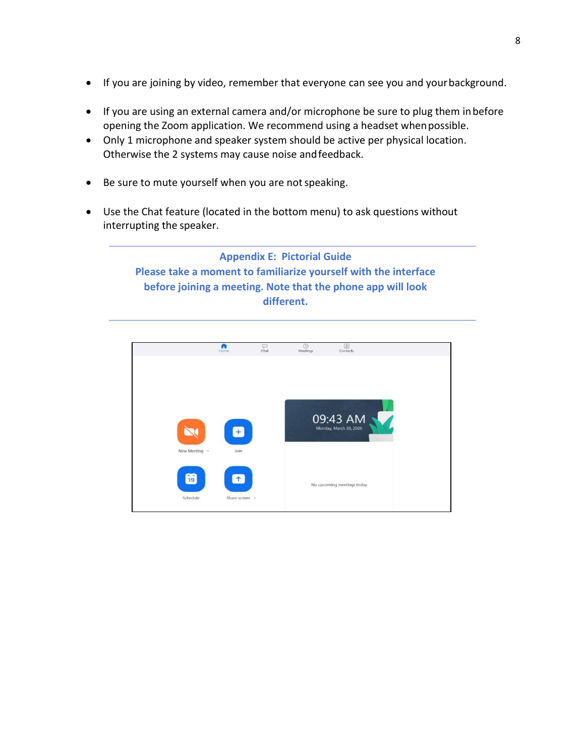- If you are joining by video, remember that everyone can see you and yourbackground.
- If you are using an external camera and/or microphone be sure to plug them inbefore opening the Zoom application. We recommend using a headset whenpossible.
- Only 1 microphone and speaker system should be active per physical location. Otherwise the 2 systems may cause noise andfeedback.
- Be sure to mute yourself when you are not speaking.
- Use the Chat feature (located in the bottom menu) to ask questions without interrupting the speaker.

**Appendix E: Pictorial Guide Please take a moment to familiarize yourself with the interface before joining a meeting. Note that the phone app will look different.**

![](_page_7_Picture_6.jpeg)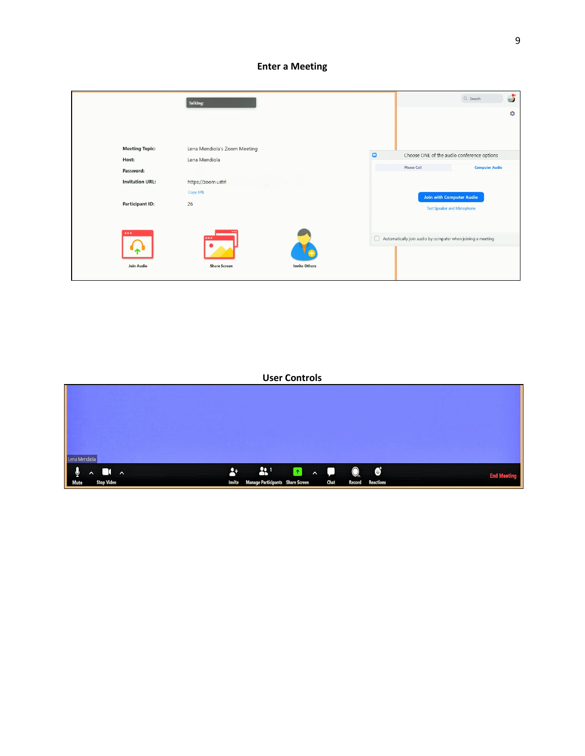### **Enter a Meeting**

|                               | <b>Talking:</b>                                         |        |                                                                    | Q Search              | J |
|-------------------------------|---------------------------------------------------------|--------|--------------------------------------------------------------------|-----------------------|---|
|                               |                                                         |        |                                                                    |                       | ۰ |
| <b>Meeting Topic:</b>         | Lena Mendiola's Zoom Meeting                            | $\Box$ | Choose ONE of the audio conference options                         |                       |   |
| Host:                         | Lena Mendiola                                           |        |                                                                    |                       |   |
| Password:                     |                                                         |        | <b>Phone Call</b>                                                  | <b>Computer Audio</b> |   |
| <b>Invitation URL:</b>        | https://zoom.ustrl                                      |        |                                                                    |                       |   |
|                               | Copy URL                                                |        | <b>Join with Computer Audio</b>                                    |                       |   |
| <b>Participant ID:</b>        | 26                                                      |        | <b>Test Speaker and Microphone</b>                                 |                       |   |
| $\cdots$<br><b>Join Audio</b> | $\cdots$<br><b>Share Screen</b><br><b>Invite Others</b> |        | $\Box$ Automatically join audio by computer when joining a meeting |                       |   |

### **User Controls**

| Lena Mendiola<br>$\frac{1}{\omega_{\text{Mute}}}$<br>$\lambda$ <b>D</b> $\lambda$<br><b>Stop Video</b> | $\bullet$ $\bullet$ $\bullet$ $\bullet$ $\bullet$ $\bullet$ $\bullet$ $\bullet$<br><b>Invite Manage Participants Share Screen</b><br>Chat | <b>Reactions</b><br><b>Record</b> | <b>End Meeting</b> |
|--------------------------------------------------------------------------------------------------------|-------------------------------------------------------------------------------------------------------------------------------------------|-----------------------------------|--------------------|